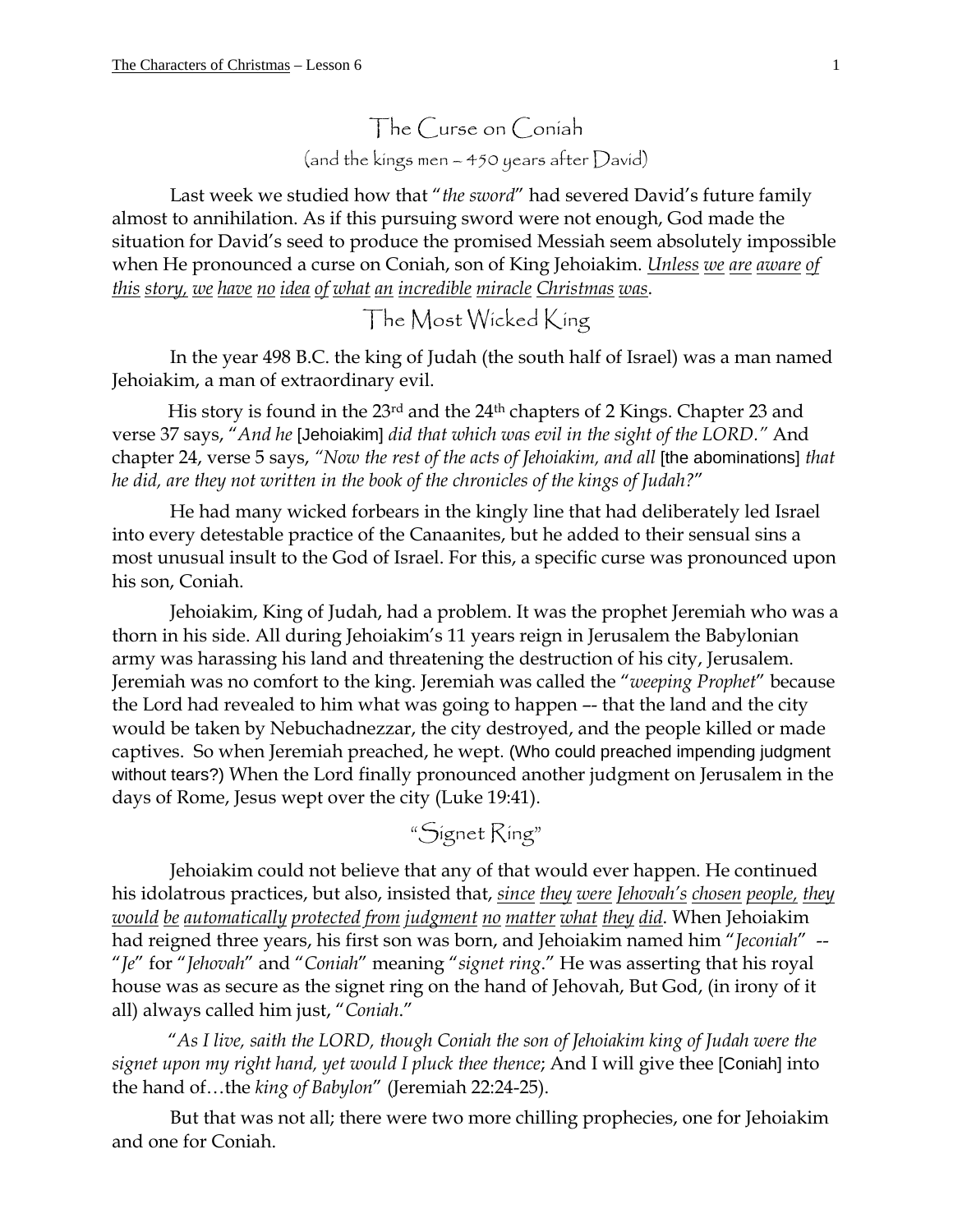The Curse on Coniah (and the kings men – 450 years after David)

Last week we studied how that "*the sword*" had severed David's future family almost to annihilation. As if this pursuing sword were not enough, God made the situation for David's seed to produce the promised Messiah seem absolutely impossible when He pronounced a curse on Coniah, son of King Jehoiakim. *Unless we are aware of this story, we have no idea of what an incredible miracle Christmas was*.

The Most Wicked King

In the year 498 B.C. the king of Judah (the south half of Israel) was a man named Jehoiakim, a man of extraordinary evil.

His story is found in the 23rd and the 24th chapters of 2 Kings. Chapter 23 and verse 37 says, "*And he* [Jehoiakim] *did that which was evil in the sight of the LORD."* And chapter 24, verse 5 says, *"Now the rest of the acts of Jehoiakim, and all* [the abominations] *that he did, are they not written in the book of the chronicles of the kings of Judah?*"

He had many wicked forbears in the kingly line that had deliberately led Israel into every detestable practice of the Canaanites, but he added to their sensual sins a most unusual insult to the God of Israel. For this, a specific curse was pronounced upon his son, Coniah.

Jehoiakim, King of Judah, had a problem. It was the prophet Jeremiah who was a thorn in his side. All during Jehoiakim's 11 years reign in Jerusalem the Babylonian army was harassing his land and threatening the destruction of his city, Jerusalem. Jeremiah was no comfort to the king. Jeremiah was called the "*weeping Prophet*" because the Lord had revealed to him what was going to happen –- that the land and the city would be taken by Nebuchadnezzar, the city destroyed, and the people killed or made captives. So when Jeremiah preached, he wept. (Who could preached impending judgment without tears?) When the Lord finally pronounced another judgment on Jerusalem in the days of Rome, Jesus wept over the city (Luke 19:41).

"Signet Ring"

Jehoiakim could not believe that any of that would ever happen. He continued his idolatrous practices, but also, insisted that, *since they were Jehovah's chosen people, they would be automatically protected from judgment no matter what they did*. When Jehoiakim had reigned three years, his first son was born, and Jehoiakim named him "*Jeconiah*" -- "*Je*" for "*Jehovah*" and "*Coniah*" meaning "*signet ring*." He was asserting that his royal house was as secure as the signet ring on the hand of Jehovah, But God, (in irony of it all) always called him just, "*Coniah*."

"*As I live, saith the LORD, though Coniah the son of Jehoiakim king of Judah were the signet upon my right hand, yet would I pluck thee thence*; And I will give thee [Coniah] into the hand of…the *king of Babylon*" (Jeremiah 22:24-25).

But that was not all; there were two more chilling prophecies, one for Jehoiakim and one for Coniah.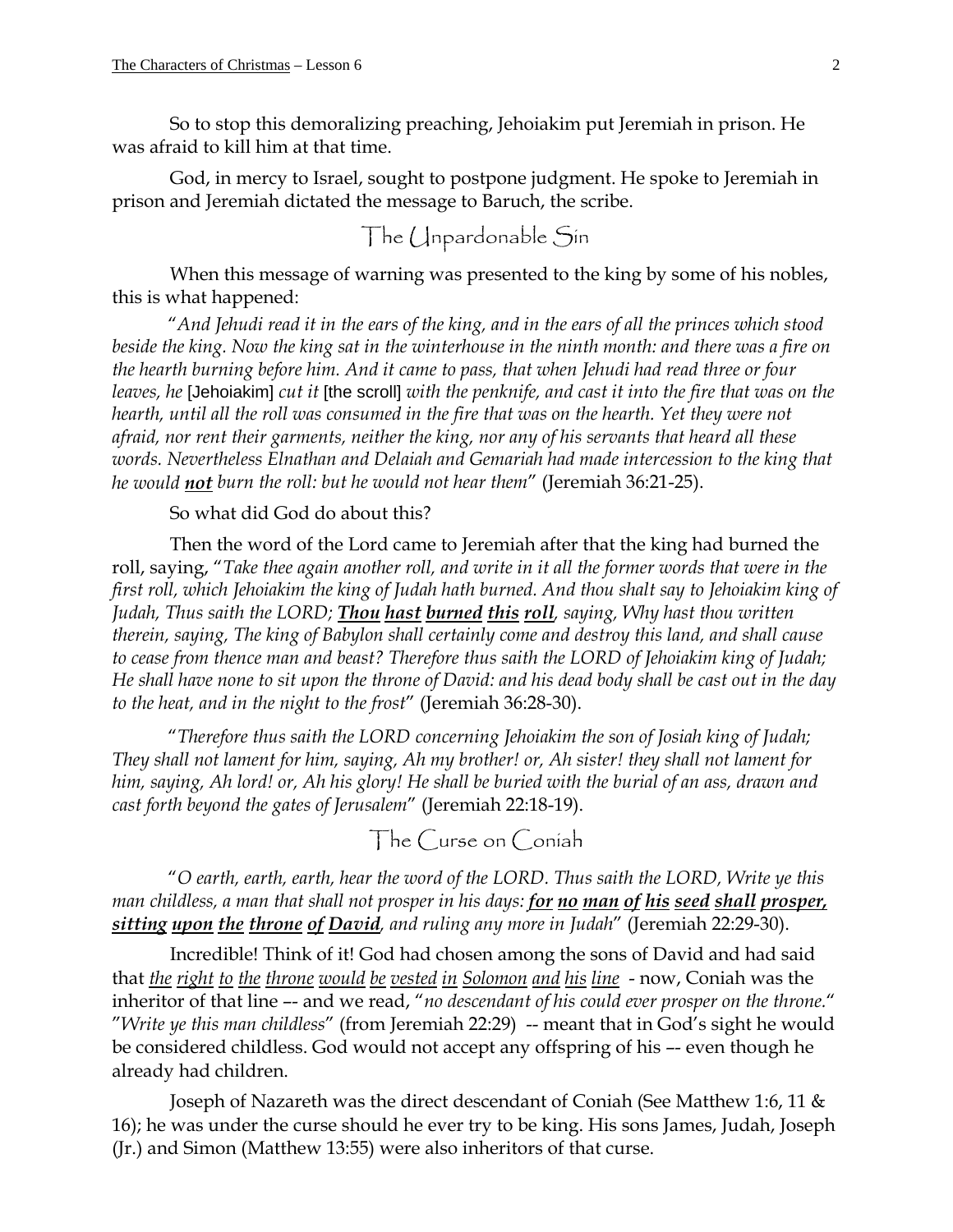So to stop this demoralizing preaching, Jehoiakim put Jeremiah in prison. He was afraid to kill him at that time.

God, in mercy to Israel, sought to postpone judgment. He spoke to Jeremiah in prison and Jeremiah dictated the message to Baruch, the scribe.

The Unpardonable Sin

When this message of warning was presented to the king by some of his nobles, this is what happened:

"*And Jehudi read it in the ears of the king, and in the ears of all the princes which stood beside the king. Now the king sat in the winterhouse in the ninth month: and there was a fire on the hearth burning before him. And it came to pass, that when Jehudi had read three or four leaves, he* [Jehoiakim] *cut it* [the scroll] *with the penknife, and cast it into the fire that was on the hearth, until all the roll was consumed in the fire that was on the hearth. Yet they were not afraid, nor rent their garments, neither the king, nor any of his servants that heard all these words. Nevertheless Elnathan and Delaiah and Gemariah had made intercession to the king that he would not burn the roll: but he would not hear them*" (Jeremiah 36:21-25).

## So what did God do about this?

Then the word of the Lord came to Jeremiah after that the king had burned the roll, saying, "*Take thee again another roll, and write in it all the former words that were in the first roll, which Jehoiakim the king of Judah hath burned. And thou shalt say to Jehoiakim king of Judah, Thus saith the LORD; Thou hast burned this roll, saying, Why hast thou written therein, saying, The king of Babylon shall certainly come and destroy this land, and shall cause to cease from thence man and beast? Therefore thus saith the LORD of Jehoiakim king of Judah; He shall have none to sit upon the throne of David: and his dead body shall be cast out in the day to the heat, and in the night to the frost*" (Jeremiah 36:28-30).

"*Therefore thus saith the LORD concerning Jehoiakim the son of Josiah king of Judah; They shall not lament for him, saying, Ah my brother! or, Ah sister! they shall not lament for him, saying, Ah lord! or, Ah his glory! He shall be buried with the burial of an ass, drawn and cast forth beyond the gates of Jerusalem*" (Jeremiah 22:18-19).

The Curse on Coniah

"*O earth, earth, earth, hear the word of the LORD. Thus saith the LORD, Write ye this man childless, a man that shall not prosper in his days: for no man of his seed shall prosper, sitting upon the throne of David, and ruling any more in Judah*" (Jeremiah 22:29-30).

Incredible! Think of it! God had chosen among the sons of David and had said that *the right to the throne would be vested in Solomon and his line* - now, Coniah was the inheritor of that line –- and we read, "*no descendant of his could ever prosper on the throne.*" "*Write ye this man childless*" (from Jeremiah 22:29) -- meant that in God's sight he would be considered childless. God would not accept any offspring of his –- even though he already had children.

Joseph of Nazareth was the direct descendant of Coniah (See Matthew 1:6, 11 & 16); he was under the curse should he ever try to be king. His sons James, Judah, Joseph (Jr.) and Simon (Matthew 13:55) were also inheritors of that curse.